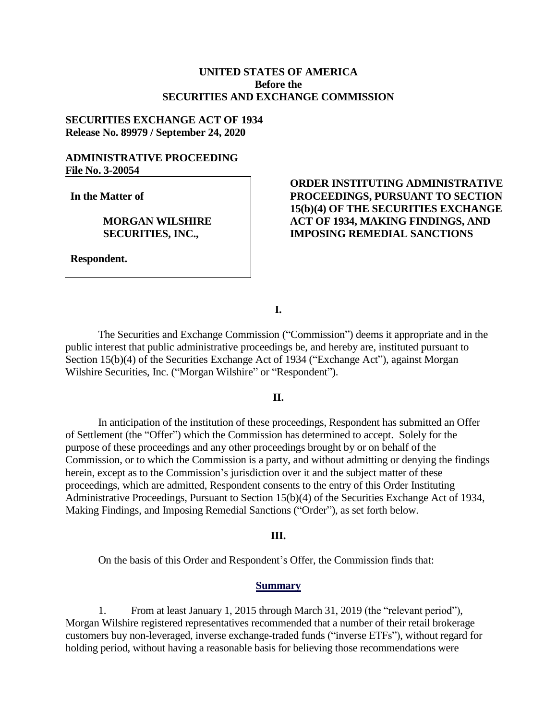## **UNITED STATES OF AMERICA Before the SECURITIES AND EXCHANGE COMMISSION**

# **SECURITIES EXCHANGE ACT OF 1934 Release No. 89979 / September 24, 2020**

## **ADMINISTRATIVE PROCEEDING File No. 3-20054**

**In the Matter of**

## **MORGAN WILSHIRE SECURITIES, INC.,**

**Respondent.**

# **ORDER INSTITUTING ADMINISTRATIVE PROCEEDINGS, PURSUANT TO SECTION 15(b)(4) OF THE SECURITIES EXCHANGE ACT OF 1934, MAKING FINDINGS, AND IMPOSING REMEDIAL SANCTIONS**

**I.**

The Securities and Exchange Commission ("Commission") deems it appropriate and in the public interest that public administrative proceedings be, and hereby are, instituted pursuant to Section 15(b)(4) of the Securities Exchange Act of 1934 ("Exchange Act"), against Morgan Wilshire Securities, Inc. ("Morgan Wilshire" or "Respondent").

### **II.**

In anticipation of the institution of these proceedings, Respondent has submitted an Offer of Settlement (the "Offer") which the Commission has determined to accept. Solely for the purpose of these proceedings and any other proceedings brought by or on behalf of the Commission, or to which the Commission is a party, and without admitting or denying the findings herein, except as to the Commission's jurisdiction over it and the subject matter of these proceedings, which are admitted, Respondent consents to the entry of this Order Instituting Administrative Proceedings, Pursuant to Section 15(b)(4) of the Securities Exchange Act of 1934, Making Findings, and Imposing Remedial Sanctions ("Order"), as set forth below.

#### **III.**

On the basis of this Order and Respondent's Offer, the Commission finds that:

#### **Summary**

1. From at least January 1, 2015 through March 31, 2019 (the "relevant period"), Morgan Wilshire registered representatives recommended that a number of their retail brokerage customers buy non-leveraged, inverse exchange-traded funds ("inverse ETFs"), without regard for holding period, without having a reasonable basis for believing those recommendations were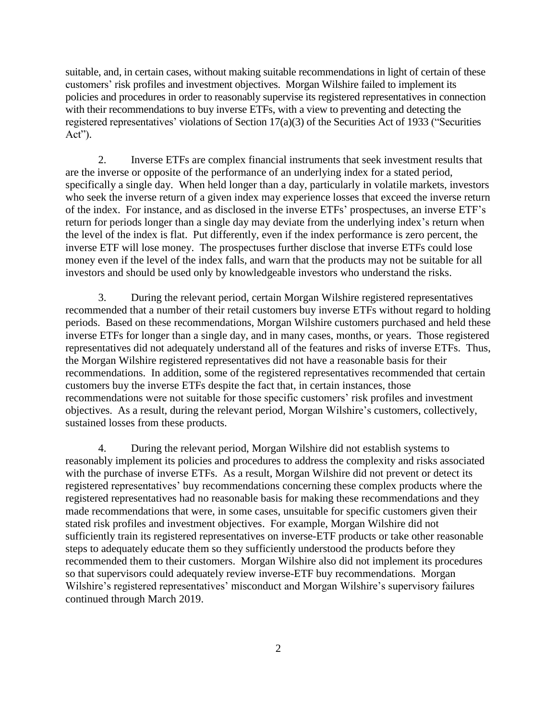suitable, and, in certain cases, without making suitable recommendations in light of certain of these customers' risk profiles and investment objectives. Morgan Wilshire failed to implement its policies and procedures in order to reasonably supervise its registered representatives in connection with their recommendations to buy inverse ETFs, with a view to preventing and detecting the registered representatives' violations of Section 17(a)(3) of the Securities Act of 1933 ("Securities Act").

2. Inverse ETFs are complex financial instruments that seek investment results that are the inverse or opposite of the performance of an underlying index for a stated period, specifically a single day. When held longer than a day, particularly in volatile markets, investors who seek the inverse return of a given index may experience losses that exceed the inverse return of the index. For instance, and as disclosed in the inverse ETFs' prospectuses, an inverse ETF's return for periods longer than a single day may deviate from the underlying index's return when the level of the index is flat. Put differently, even if the index performance is zero percent, the inverse ETF will lose money. The prospectuses further disclose that inverse ETFs could lose money even if the level of the index falls, and warn that the products may not be suitable for all investors and should be used only by knowledgeable investors who understand the risks.

3. During the relevant period, certain Morgan Wilshire registered representatives recommended that a number of their retail customers buy inverse ETFs without regard to holding periods. Based on these recommendations, Morgan Wilshire customers purchased and held these inverse ETFs for longer than a single day, and in many cases, months, or years. Those registered representatives did not adequately understand all of the features and risks of inverse ETFs. Thus, the Morgan Wilshire registered representatives did not have a reasonable basis for their recommendations. In addition, some of the registered representatives recommended that certain customers buy the inverse ETFs despite the fact that, in certain instances, those recommendations were not suitable for those specific customers' risk profiles and investment objectives. As a result, during the relevant period, Morgan Wilshire's customers, collectively, sustained losses from these products.

4. During the relevant period, Morgan Wilshire did not establish systems to reasonably implement its policies and procedures to address the complexity and risks associated with the purchase of inverse ETFs. As a result, Morgan Wilshire did not prevent or detect its registered representatives' buy recommendations concerning these complex products where the registered representatives had no reasonable basis for making these recommendations and they made recommendations that were, in some cases, unsuitable for specific customers given their stated risk profiles and investment objectives. For example, Morgan Wilshire did not sufficiently train its registered representatives on inverse-ETF products or take other reasonable steps to adequately educate them so they sufficiently understood the products before they recommended them to their customers. Morgan Wilshire also did not implement its procedures so that supervisors could adequately review inverse-ETF buy recommendations. Morgan Wilshire's registered representatives' misconduct and Morgan Wilshire's supervisory failures continued through March 2019.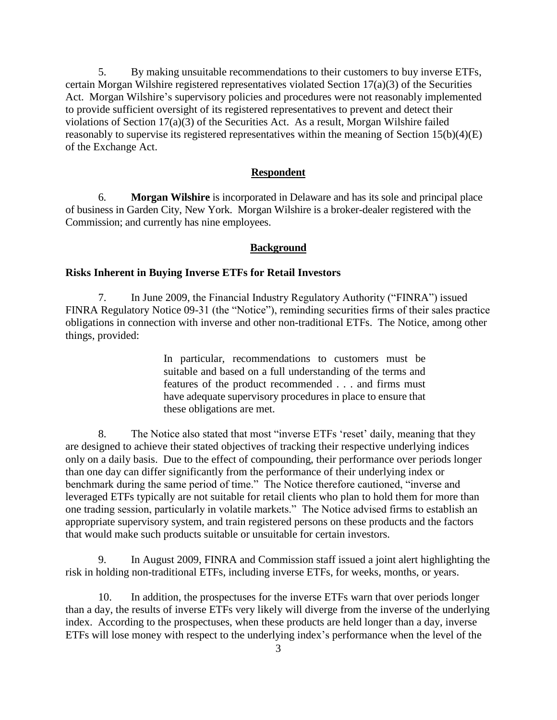5. By making unsuitable recommendations to their customers to buy inverse ETFs, certain Morgan Wilshire registered representatives violated Section 17(a)(3) of the Securities Act. Morgan Wilshire's supervisory policies and procedures were not reasonably implemented to provide sufficient oversight of its registered representatives to prevent and detect their violations of Section 17(a)(3) of the Securities Act. As a result, Morgan Wilshire failed reasonably to supervise its registered representatives within the meaning of Section 15(b)(4)(E) of the Exchange Act.

#### **Respondent**

6. **Morgan Wilshire** is incorporated in Delaware and has its sole and principal place of business in Garden City, New York. Morgan Wilshire is a broker-dealer registered with the Commission; and currently has nine employees.

### **Background**

### **Risks Inherent in Buying Inverse ETFs for Retail Investors**

7. In June 2009, the Financial Industry Regulatory Authority ("FINRA") issued FINRA Regulatory Notice 09-31 (the "Notice"), reminding securities firms of their sales practice obligations in connection with inverse and other non-traditional ETFs. The Notice, among other things, provided:

> In particular, recommendations to customers must be suitable and based on a full understanding of the terms and features of the product recommended . . . and firms must have adequate supervisory procedures in place to ensure that these obligations are met.

8. The Notice also stated that most "inverse ETFs 'reset' daily, meaning that they are designed to achieve their stated objectives of tracking their respective underlying indices only on a daily basis. Due to the effect of compounding, their performance over periods longer than one day can differ significantly from the performance of their underlying index or benchmark during the same period of time." The Notice therefore cautioned, "inverse and leveraged ETFs typically are not suitable for retail clients who plan to hold them for more than one trading session, particularly in volatile markets." The Notice advised firms to establish an appropriate supervisory system, and train registered persons on these products and the factors that would make such products suitable or unsuitable for certain investors.

9. In August 2009, FINRA and Commission staff issued a joint alert highlighting the risk in holding non-traditional ETFs, including inverse ETFs, for weeks, months, or years.

10. In addition, the prospectuses for the inverse ETFs warn that over periods longer than a day, the results of inverse ETFs very likely will diverge from the inverse of the underlying index. According to the prospectuses, when these products are held longer than a day, inverse ETFs will lose money with respect to the underlying index's performance when the level of the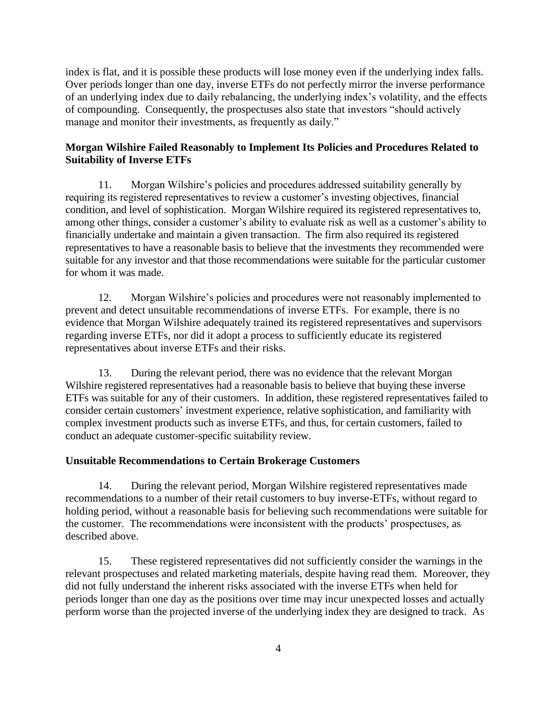index is flat, and it is possible these products will lose money even if the underlying index falls. Over periods longer than one day, inverse ETFs do not perfectly mirror the inverse performance of an underlying index due to daily rebalancing, the underlying index's volatility, and the effects of compounding. Consequently, the prospectuses also state that investors "should actively manage and monitor their investments, as frequently as daily."

## **Morgan Wilshire Failed Reasonably to Implement Its Policies and Procedures Related to Suitability of Inverse ETFs**

11. Morgan Wilshire's policies and procedures addressed suitability generally by requiring its registered representatives to review a customer's investing objectives, financial condition, and level of sophistication. Morgan Wilshire required its registered representatives to, among other things, consider a customer's ability to evaluate risk as well as a customer's ability to financially undertake and maintain a given transaction. The firm also required its registered representatives to have a reasonable basis to believe that the investments they recommended were suitable for any investor and that those recommendations were suitable for the particular customer for whom it was made.

12. Morgan Wilshire's policies and procedures were not reasonably implemented to prevent and detect unsuitable recommendations of inverse ETFs. For example, there is no evidence that Morgan Wilshire adequately trained its registered representatives and supervisors regarding inverse ETFs, nor did it adopt a process to sufficiently educate its registered representatives about inverse ETFs and their risks.

13. During the relevant period, there was no evidence that the relevant Morgan Wilshire registered representatives had a reasonable basis to believe that buying these inverse ETFs was suitable for any of their customers. In addition, these registered representatives failed to consider certain customers' investment experience, relative sophistication, and familiarity with complex investment products such as inverse ETFs, and thus, for certain customers, failed to conduct an adequate customer-specific suitability review.

## **Unsuitable Recommendations to Certain Brokerage Customers**

14. During the relevant period, Morgan Wilshire registered representatives made recommendations to a number of their retail customers to buy inverse-ETFs, without regard to holding period, without a reasonable basis for believing such recommendations were suitable for the customer. The recommendations were inconsistent with the products' prospectuses, as described above.

15. These registered representatives did not sufficiently consider the warnings in the relevant prospectuses and related marketing materials, despite having read them. Moreover, they did not fully understand the inherent risks associated with the inverse ETFs when held for periods longer than one day as the positions over time may incur unexpected losses and actually perform worse than the projected inverse of the underlying index they are designed to track. As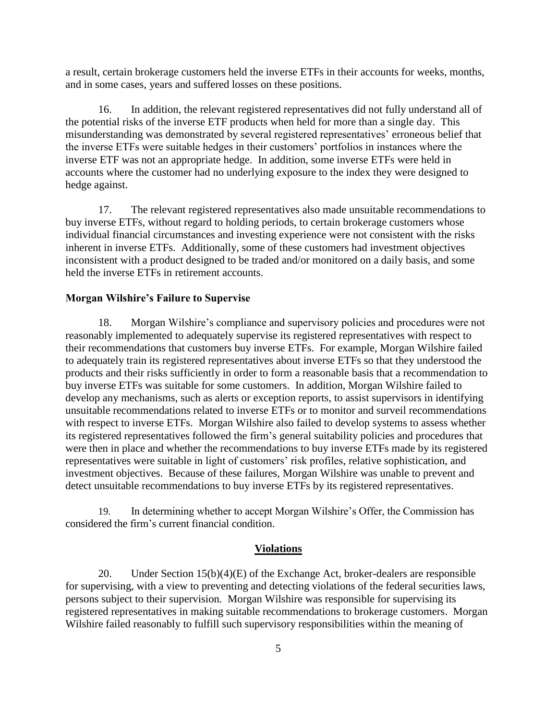a result, certain brokerage customers held the inverse ETFs in their accounts for weeks, months, and in some cases, years and suffered losses on these positions.

16. In addition, the relevant registered representatives did not fully understand all of the potential risks of the inverse ETF products when held for more than a single day. This misunderstanding was demonstrated by several registered representatives' erroneous belief that the inverse ETFs were suitable hedges in their customers' portfolios in instances where the inverse ETF was not an appropriate hedge. In addition, some inverse ETFs were held in accounts where the customer had no underlying exposure to the index they were designed to hedge against.

17. The relevant registered representatives also made unsuitable recommendations to buy inverse ETFs, without regard to holding periods, to certain brokerage customers whose individual financial circumstances and investing experience were not consistent with the risks inherent in inverse ETFs. Additionally, some of these customers had investment objectives inconsistent with a product designed to be traded and/or monitored on a daily basis, and some held the inverse ETFs in retirement accounts.

#### **Morgan Wilshire's Failure to Supervise**

18. Morgan Wilshire's compliance and supervisory policies and procedures were not reasonably implemented to adequately supervise its registered representatives with respect to their recommendations that customers buy inverse ETFs. For example, Morgan Wilshire failed to adequately train its registered representatives about inverse ETFs so that they understood the products and their risks sufficiently in order to form a reasonable basis that a recommendation to buy inverse ETFs was suitable for some customers. In addition, Morgan Wilshire failed to develop any mechanisms, such as alerts or exception reports, to assist supervisors in identifying unsuitable recommendations related to inverse ETFs or to monitor and surveil recommendations with respect to inverse ETFs. Morgan Wilshire also failed to develop systems to assess whether its registered representatives followed the firm's general suitability policies and procedures that were then in place and whether the recommendations to buy inverse ETFs made by its registered representatives were suitable in light of customers' risk profiles, relative sophistication, and investment objectives. Because of these failures, Morgan Wilshire was unable to prevent and detect unsuitable recommendations to buy inverse ETFs by its registered representatives.

19. In determining whether to accept Morgan Wilshire's Offer, the Commission has considered the firm's current financial condition.

#### **Violations**

20. Under Section 15(b)(4)(E) of the Exchange Act, broker-dealers are responsible for supervising, with a view to preventing and detecting violations of the federal securities laws, persons subject to their supervision. Morgan Wilshire was responsible for supervising its registered representatives in making suitable recommendations to brokerage customers. Morgan Wilshire failed reasonably to fulfill such supervisory responsibilities within the meaning of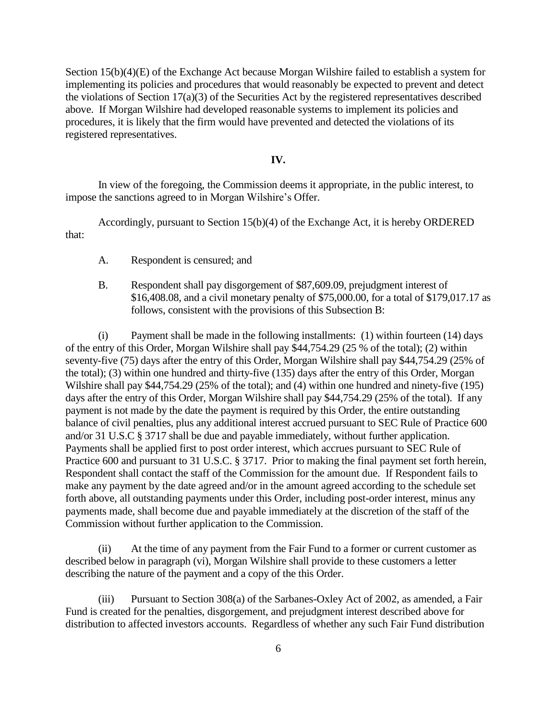Section 15(b)(4)(E) of the Exchange Act because Morgan Wilshire failed to establish a system for implementing its policies and procedures that would reasonably be expected to prevent and detect the violations of Section 17(a)(3) of the Securities Act by the registered representatives described above. If Morgan Wilshire had developed reasonable systems to implement its policies and procedures, it is likely that the firm would have prevented and detected the violations of its registered representatives.

## **IV.**

In view of the foregoing, the Commission deems it appropriate, in the public interest*,* to impose the sanctions agreed to in Morgan Wilshire's Offer.

Accordingly, pursuant to Section 15(b)(4) of the Exchange Act, it is hereby ORDERED that:

- A. Respondent is censured; and
- B. Respondent shall pay disgorgement of \$87,609.09, prejudgment interest of \$16,408.08, and a civil monetary penalty of \$75,000.00, for a total of \$179,017.17 as follows, consistent with the provisions of this Subsection B:

(i) Payment shall be made in the following installments: (1) within fourteen (14) days of the entry of this Order, Morgan Wilshire shall pay \$44,754.29 (25 % of the total); (2) within seventy-five (75) days after the entry of this Order, Morgan Wilshire shall pay \$44,754.29 (25% of the total); (3) within one hundred and thirty-five (135) days after the entry of this Order, Morgan Wilshire shall pay \$44,754.29 (25% of the total); and (4) within one hundred and ninety-five (195) days after the entry of this Order, Morgan Wilshire shall pay \$44,754.29 (25% of the total). If any payment is not made by the date the payment is required by this Order, the entire outstanding balance of civil penalties, plus any additional interest accrued pursuant to SEC Rule of Practice 600 and/or 31 U.S.C § 3717 shall be due and payable immediately, without further application. Payments shall be applied first to post order interest, which accrues pursuant to SEC Rule of Practice 600 and pursuant to 31 U.S.C. § 3717. Prior to making the final payment set forth herein, Respondent shall contact the staff of the Commission for the amount due. If Respondent fails to make any payment by the date agreed and/or in the amount agreed according to the schedule set forth above, all outstanding payments under this Order, including post-order interest, minus any payments made, shall become due and payable immediately at the discretion of the staff of the Commission without further application to the Commission.

(ii) At the time of any payment from the Fair Fund to a former or current customer as described below in paragraph (vi), Morgan Wilshire shall provide to these customers a letter describing the nature of the payment and a copy of the this Order.

(iii) Pursuant to Section 308(a) of the Sarbanes-Oxley Act of 2002, as amended, a Fair Fund is created for the penalties, disgorgement, and prejudgment interest described above for distribution to affected investors accounts. Regardless of whether any such Fair Fund distribution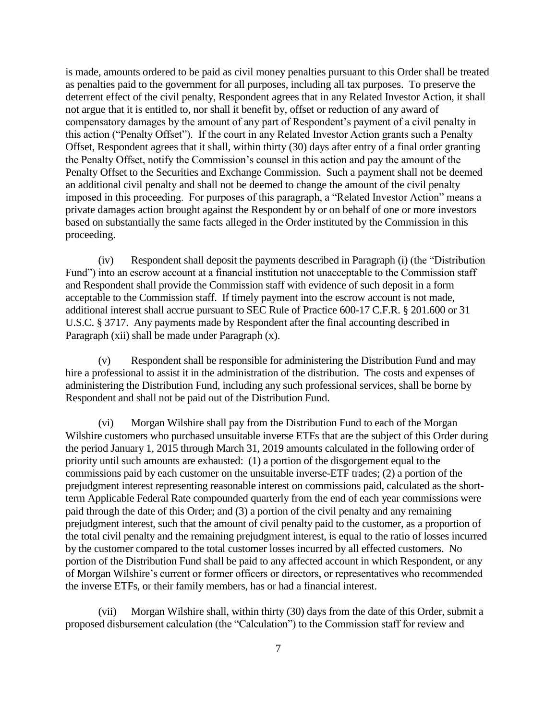is made, amounts ordered to be paid as civil money penalties pursuant to this Order shall be treated as penalties paid to the government for all purposes, including all tax purposes. To preserve the deterrent effect of the civil penalty, Respondent agrees that in any Related Investor Action, it shall not argue that it is entitled to, nor shall it benefit by, offset or reduction of any award of compensatory damages by the amount of any part of Respondent's payment of a civil penalty in this action ("Penalty Offset"). If the court in any Related Investor Action grants such a Penalty Offset, Respondent agrees that it shall, within thirty (30) days after entry of a final order granting the Penalty Offset, notify the Commission's counsel in this action and pay the amount of the Penalty Offset to the Securities and Exchange Commission. Such a payment shall not be deemed an additional civil penalty and shall not be deemed to change the amount of the civil penalty imposed in this proceeding. For purposes of this paragraph, a "Related Investor Action" means a private damages action brought against the Respondent by or on behalf of one or more investors based on substantially the same facts alleged in the Order instituted by the Commission in this proceeding.

(iv) Respondent shall deposit the payments described in Paragraph (i) (the "Distribution Fund") into an escrow account at a financial institution not unacceptable to the Commission staff and Respondent shall provide the Commission staff with evidence of such deposit in a form acceptable to the Commission staff. If timely payment into the escrow account is not made, additional interest shall accrue pursuant to SEC Rule of Practice 600-17 C.F.R. § 201.600 or 31 U.S.C. § 3717. Any payments made by Respondent after the final accounting described in Paragraph (xii) shall be made under Paragraph (x).

(v) Respondent shall be responsible for administering the Distribution Fund and may hire a professional to assist it in the administration of the distribution. The costs and expenses of administering the Distribution Fund, including any such professional services, shall be borne by Respondent and shall not be paid out of the Distribution Fund.

(vi) Morgan Wilshire shall pay from the Distribution Fund to each of the Morgan Wilshire customers who purchased unsuitable inverse ETFs that are the subject of this Order during the period January 1, 2015 through March 31, 2019 amounts calculated in the following order of priority until such amounts are exhausted: (1) a portion of the disgorgement equal to the commissions paid by each customer on the unsuitable inverse-ETF trades; (2) a portion of the prejudgment interest representing reasonable interest on commissions paid, calculated as the shortterm Applicable Federal Rate compounded quarterly from the end of each year commissions were paid through the date of this Order; and (3) a portion of the civil penalty and any remaining prejudgment interest, such that the amount of civil penalty paid to the customer, as a proportion of the total civil penalty and the remaining prejudgment interest, is equal to the ratio of losses incurred by the customer compared to the total customer losses incurred by all effected customers. No portion of the Distribution Fund shall be paid to any affected account in which Respondent, or any of Morgan Wilshire's current or former officers or directors, or representatives who recommended the inverse ETFs, or their family members, has or had a financial interest.

(vii) Morgan Wilshire shall, within thirty (30) days from the date of this Order, submit a proposed disbursement calculation (the "Calculation") to the Commission staff for review and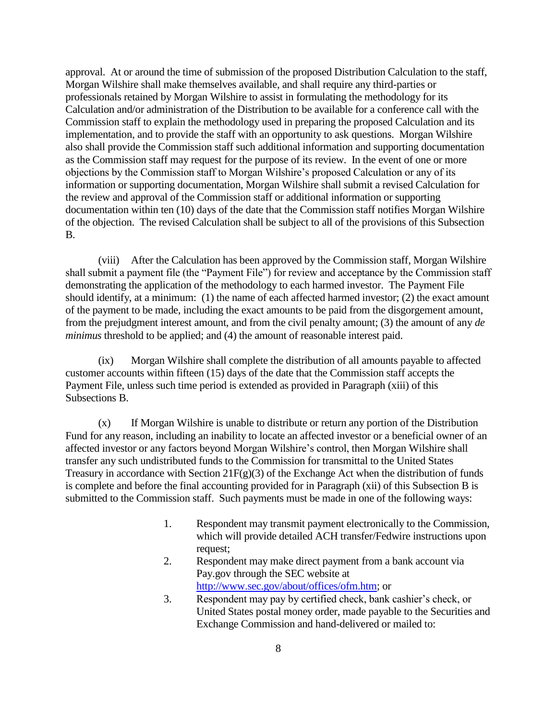approval. At or around the time of submission of the proposed Distribution Calculation to the staff, Morgan Wilshire shall make themselves available, and shall require any third-parties or professionals retained by Morgan Wilshire to assist in formulating the methodology for its Calculation and/or administration of the Distribution to be available for a conference call with the Commission staff to explain the methodology used in preparing the proposed Calculation and its implementation, and to provide the staff with an opportunity to ask questions. Morgan Wilshire also shall provide the Commission staff such additional information and supporting documentation as the Commission staff may request for the purpose of its review. In the event of one or more objections by the Commission staff to Morgan Wilshire's proposed Calculation or any of its information or supporting documentation, Morgan Wilshire shall submit a revised Calculation for the review and approval of the Commission staff or additional information or supporting documentation within ten (10) days of the date that the Commission staff notifies Morgan Wilshire of the objection. The revised Calculation shall be subject to all of the provisions of this Subsection B.

(viii) After the Calculation has been approved by the Commission staff, Morgan Wilshire shall submit a payment file (the "Payment File") for review and acceptance by the Commission staff demonstrating the application of the methodology to each harmed investor. The Payment File should identify, at a minimum: (1) the name of each affected harmed investor; (2) the exact amount of the payment to be made, including the exact amounts to be paid from the disgorgement amount, from the prejudgment interest amount, and from the civil penalty amount; (3) the amount of any *de minimus* threshold to be applied; and (4) the amount of reasonable interest paid.

(ix) Morgan Wilshire shall complete the distribution of all amounts payable to affected customer accounts within fifteen (15) days of the date that the Commission staff accepts the Payment File, unless such time period is extended as provided in Paragraph (xiii) of this Subsections B.

(x) If Morgan Wilshire is unable to distribute or return any portion of the Distribution Fund for any reason, including an inability to locate an affected investor or a beneficial owner of an affected investor or any factors beyond Morgan Wilshire's control, then Morgan Wilshire shall transfer any such undistributed funds to the Commission for transmittal to the United States Treasury in accordance with Section  $21F(g)(3)$  of the Exchange Act when the distribution of funds is complete and before the final accounting provided for in Paragraph (xii) of this Subsection B is submitted to the Commission staff. Such payments must be made in one of the following ways:

- 1. Respondent may transmit payment electronically to the Commission, which will provide detailed ACH transfer/Fedwire instructions upon request;
- 2. Respondent may make direct payment from a bank account via Pay.gov through the SEC website at [http://www.sec.gov/about/offices/ofm.htm;](http://www.sec.gov/about/offices/ofm.htm) or
- 3. Respondent may pay by certified check, bank cashier's check, or United States postal money order, made payable to the Securities and Exchange Commission and hand-delivered or mailed to: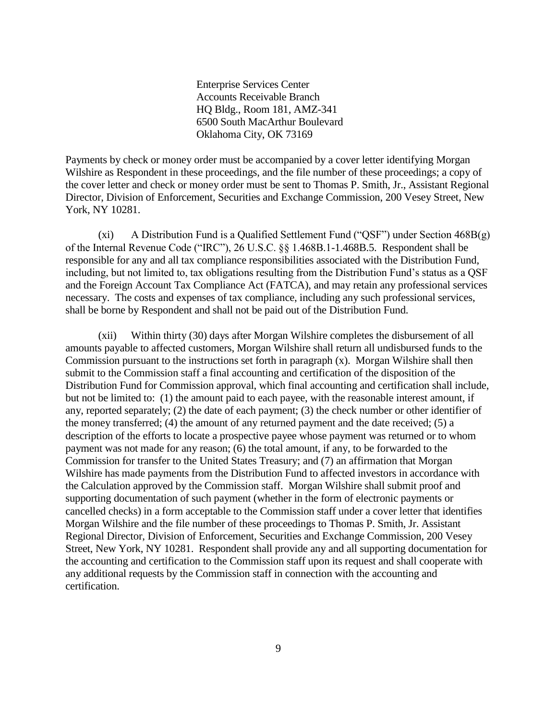Enterprise Services Center Accounts Receivable Branch HQ Bldg., Room 181, AMZ-341 6500 South MacArthur Boulevard Oklahoma City, OK 73169

Payments by check or money order must be accompanied by a cover letter identifying Morgan Wilshire as Respondent in these proceedings, and the file number of these proceedings; a copy of the cover letter and check or money order must be sent to Thomas P. Smith, Jr., Assistant Regional Director, Division of Enforcement, Securities and Exchange Commission, 200 Vesey Street, New York, NY 10281.

(xi) A Distribution Fund is a Qualified Settlement Fund ("QSF") under Section  $468B(g)$ of the Internal Revenue Code ("IRC"), 26 U.S.C. §§ 1.468B.1-1.468B.5. Respondent shall be responsible for any and all tax compliance responsibilities associated with the Distribution Fund, including, but not limited to, tax obligations resulting from the Distribution Fund's status as a QSF and the Foreign Account Tax Compliance Act (FATCA), and may retain any professional services necessary. The costs and expenses of tax compliance, including any such professional services, shall be borne by Respondent and shall not be paid out of the Distribution Fund.

(xii) Within thirty (30) days after Morgan Wilshire completes the disbursement of all amounts payable to affected customers, Morgan Wilshire shall return all undisbursed funds to the Commission pursuant to the instructions set forth in paragraph (x). Morgan Wilshire shall then submit to the Commission staff a final accounting and certification of the disposition of the Distribution Fund for Commission approval, which final accounting and certification shall include, but not be limited to: (1) the amount paid to each payee, with the reasonable interest amount, if any, reported separately; (2) the date of each payment; (3) the check number or other identifier of the money transferred; (4) the amount of any returned payment and the date received; (5) a description of the efforts to locate a prospective payee whose payment was returned or to whom payment was not made for any reason; (6) the total amount, if any, to be forwarded to the Commission for transfer to the United States Treasury; and (7) an affirmation that Morgan Wilshire has made payments from the Distribution Fund to affected investors in accordance with the Calculation approved by the Commission staff. Morgan Wilshire shall submit proof and supporting documentation of such payment (whether in the form of electronic payments or cancelled checks) in a form acceptable to the Commission staff under a cover letter that identifies Morgan Wilshire and the file number of these proceedings to Thomas P. Smith, Jr. Assistant Regional Director, Division of Enforcement, Securities and Exchange Commission, 200 Vesey Street, New York, NY 10281. Respondent shall provide any and all supporting documentation for the accounting and certification to the Commission staff upon its request and shall cooperate with any additional requests by the Commission staff in connection with the accounting and certification.